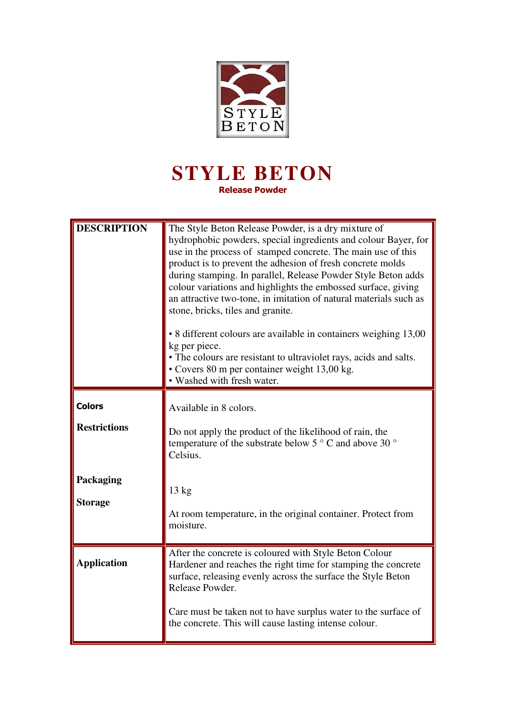

## **STYLE BETON Release Powder**

| <b>DESCRIPTION</b>                                                         | The Style Beton Release Powder, is a dry mixture of<br>hydrophobic powders, special ingredients and colour Bayer, for<br>use in the process of stamped concrete. The main use of this<br>product is to prevent the adhesion of fresh concrete molds<br>during stamping. In parallel, Release Powder Style Beton adds<br>colour variations and highlights the embossed surface, giving<br>an attractive two-tone, in imitation of natural materials such as<br>stone, bricks, tiles and granite.<br>• 8 different colours are available in containers weighing 13,00<br>kg per piece.<br>• The colours are resistant to ultraviolet rays, acids and salts.<br>• Covers 80 m per container weight 13,00 kg.<br>• Washed with fresh water. |
|----------------------------------------------------------------------------|-----------------------------------------------------------------------------------------------------------------------------------------------------------------------------------------------------------------------------------------------------------------------------------------------------------------------------------------------------------------------------------------------------------------------------------------------------------------------------------------------------------------------------------------------------------------------------------------------------------------------------------------------------------------------------------------------------------------------------------------|
| <b>Colors</b><br><b>Restrictions</b><br><b>Packaging</b><br><b>Storage</b> | Available in 8 colors.<br>Do not apply the product of the likelihood of rain, the<br>temperature of the substrate below 5 $\degree$ C and above 30 $\degree$<br>Celsius.<br>13 kg<br>At room temperature, in the original container. Protect from<br>moisture.                                                                                                                                                                                                                                                                                                                                                                                                                                                                          |
| <b>Application</b>                                                         | After the concrete is coloured with Style Beton Colour<br>Hardener and reaches the right time for stamping the concrete<br>surface, releasing evenly across the surface the Style Beton<br>Release Powder.<br>Care must be taken not to have surplus water to the surface of<br>the concrete. This will cause lasting intense colour.                                                                                                                                                                                                                                                                                                                                                                                                   |